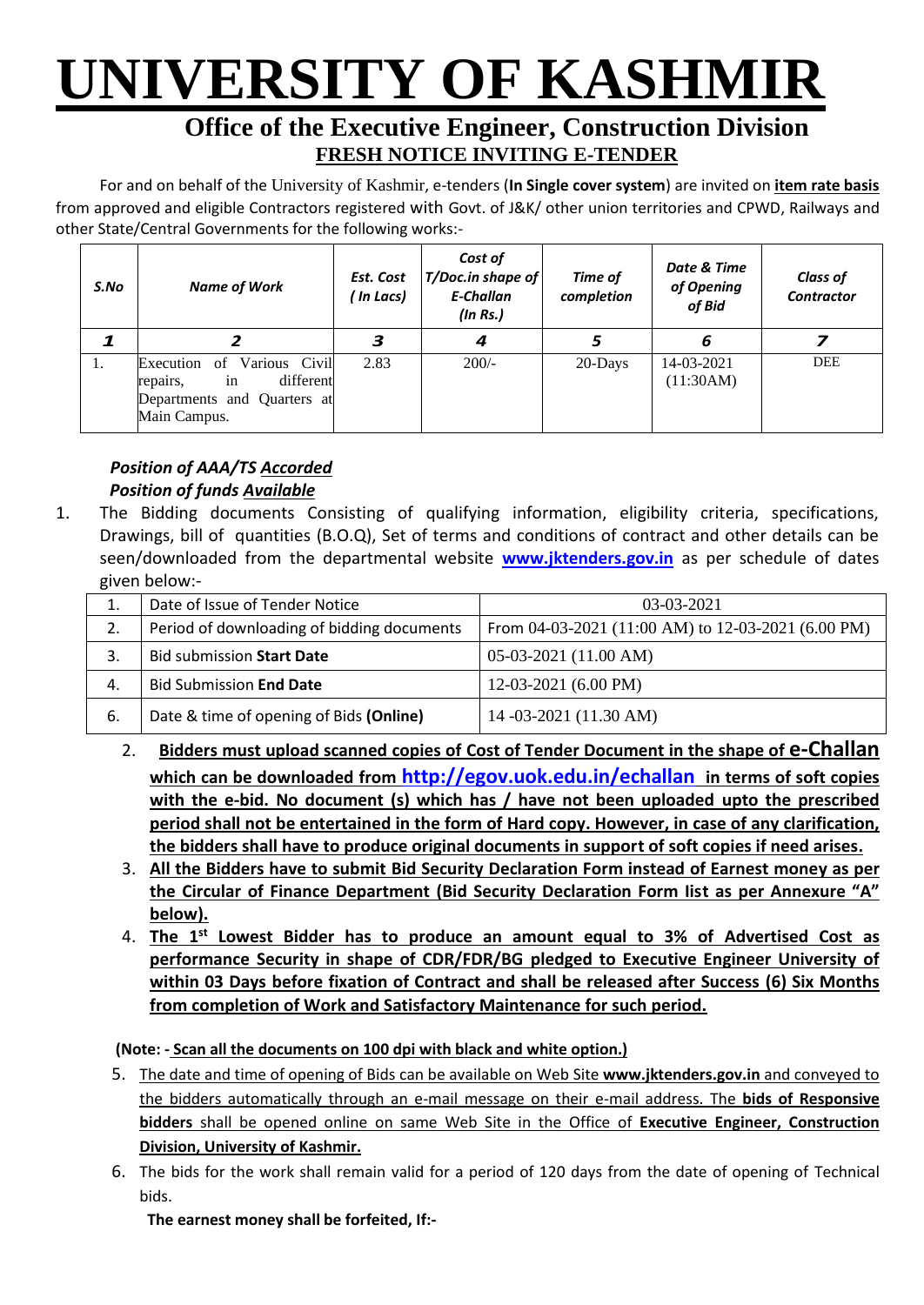# **UNIVERSITY OF KASHMIR**

## **Office of the Executive Engineer, Construction Division FRESH NOTICE INVITING E-TENDER**

For and on behalf of the University of Kashmir, e-tenders (**In Single cover system**) are invited on **item rate basis** from approved and eligible Contractors registered with Govt. of J&K/ other union territories and CPWD, Railways and other State/Central Governments for the following works:-

| S.No | <b>Name of Work</b>                                                                                            | Est. Cost<br>( In Lacs) | Cost of<br>T/Doc.in shape of<br>E-Challan<br>(ln Rs.) | Time of<br>completion | Date & Time<br>of Opening<br>of Bid | <b>Class of</b><br><b>Contractor</b> |
|------|----------------------------------------------------------------------------------------------------------------|-------------------------|-------------------------------------------------------|-----------------------|-------------------------------------|--------------------------------------|
|      |                                                                                                                | з                       | 4                                                     |                       | 6                                   |                                      |
| 1.   | Various Civil<br>Execution<br>of<br>different<br>1n<br>repairs,<br>Departments and Quarters at<br>Main Campus. | 2.83                    | $200/-$                                               | 20-Days               | 14-03-2021<br>(11:30AM)             | DEE                                  |

### *Position of AAA/TS Accorded Position of funds Available*

1. The Bidding documents Consisting of qualifying information, eligibility criteria, specifications, Drawings, bill of quantities (B.O.Q), Set of terms and conditions of contract and other details can be seen/downloaded from the departmental website **[www.jktenders.gov.in](http://www.pmgsytendersjk.gov.in/)** as per schedule of dates given below:-

|     | Date of Issue of Tender Notice             | $03-03-2021$                                       |  |  |  |
|-----|--------------------------------------------|----------------------------------------------------|--|--|--|
| 2.  | Period of downloading of bidding documents | From 04-03-2021 (11:00 AM) to 12-03-2021 (6.00 PM) |  |  |  |
|     | <b>Bid submission Start Date</b>           | $05-03-2021$ (11.00 AM)                            |  |  |  |
| 4.  | <b>Bid Submission End Date</b>             | 12-03-2021 (6.00 PM)                               |  |  |  |
| -6. | Date & time of opening of Bids (Online)    | 14 -03-2021 (11.30 AM)                             |  |  |  |

- 2. **Bidders must upload scanned copies of Cost of Tender Document in the shape of e-Challan which can be downloaded from <http://egov.uok.edu.in/echallan> in terms of soft copies with the e-bid. No document (s) which has / have not been uploaded upto the prescribed period shall not be entertained in the form of Hard copy. However, in case of any clarification, the bidders shall have to produce original documents in support of soft copies if need arises.**
- 3. **All the Bidders have to submit Bid Security Declaration Form instead of Earnest money as per the Circular of Finance Department (Bid Security Declaration Form Iist as per Annexure "A" below).**
- 4. **The 1st Lowest Bidder has to produce an amount equal to 3% of Advertised Cost as performance Security in shape of CDR/FDR/BG pledged to Executive Engineer University of within 03 Days before fixation of Contract and shall be released after Success (6) Six Months from completion of Work and Satisfactory Maintenance for such period.**

#### **(Note: - Scan all the documents on 100 dpi with black and white option.)**

- 5. The date and time of opening of Bids can be available on Web Site **[www.jktenders.gov.in](http://www.pmgsytendersjk.gov.in/)** and conveyed to the bidders automatically through an e-mail message on their e-mail address. The **bids of Responsive bidders** shall be opened online on same Web Site in the Office of **Executive Engineer, Construction Division, University of Kashmir.**
- 6. The bids for the work shall remain valid for a period of 120 days from the date of opening of Technical bids.

**The earnest money shall be forfeited, If:-**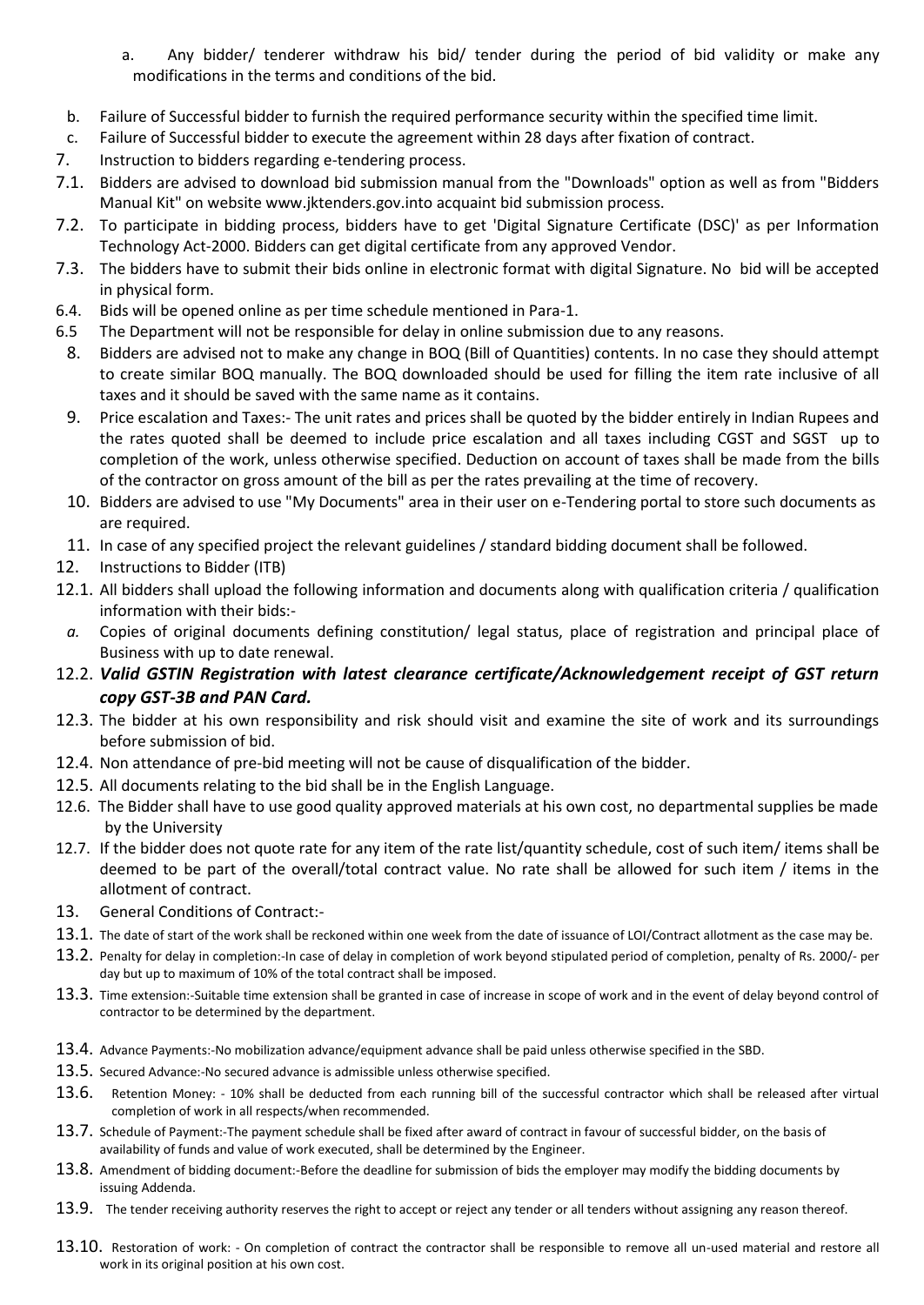- a. Any bidder/ tenderer withdraw his bid/ tender during the period of bid validity or make any modifications in the terms and conditions of the bid.
- b. Failure of Successful bidder to furnish the required performance security within the specified time limit.
- c. Failure of Successful bidder to execute the agreement within 28 days after fixation of contract.
- 7. Instruction to bidders regarding e-tendering process.
- 7.1. Bidders are advised to download bid submission manual from the "Downloads" option as well as from "Bidders Manual Kit" on website [www.jktenders.gov.into](http://www.pmgsytendersjk.gov.into/) acquaint bid submission process.
- 7.2. To participate in bidding process, bidders have to get 'Digital Signature Certificate (DSC)' as per Information Technology Act-2000. Bidders can get digital certificate from any approved Vendor.
- 7.3. The bidders have to submit their bids online in electronic format with digital Signature. No bid will be accepted in physical form.
- 6.4. Bids will be opened online as per time schedule mentioned in Para-1.
- 6.5 The Department will not be responsible for delay in online submission due to any reasons.
	- 8. Bidders are advised not to make any change in BOQ (Bill of Quantities) contents. In no case they should attempt to create similar BOQ manually. The BOQ downloaded should be used for filling the item rate inclusive of all taxes and it should be saved with the same name as it contains.
	- 9. Price escalation and Taxes:- The unit rates and prices shall be quoted by the bidder entirely in Indian Rupees and the rates quoted shall be deemed to include price escalation and all taxes including CGST and SGST up to completion of the work, unless otherwise specified. Deduction on account of taxes shall be made from the bills of the contractor on gross amount of the bill as per the rates prevailing at the time of recovery.
	- 10. Bidders are advised to use "My Documents" area in their user on e-Tendering portal to store such documents as are required.
- 11. In case of any specified project the relevant guidelines / standard bidding document shall be followed.
- 12. Instructions to Bidder (ITB)
- 12.1. All bidders shall upload the following information and documents along with qualification criteria / qualification information with their bids:-
- *a.* Copies of original documents defining constitution/ legal status, place of registration and principal place of Business with up to date renewal.
- 12.2. *Valid GSTIN Registration with latest clearance certificate/Acknowledgement receipt of GST return copy GST-3B and PAN Card.*
- 12.3. The bidder at his own responsibility and risk should visit and examine the site of work and its surroundings before submission of bid.
- 12.4. Non attendance of pre-bid meeting will not be cause of disqualification of the bidder.
- 12.5. All documents relating to the bid shall be in the English Language.
- 12.6. The Bidder shall have to use good quality approved materials at his own cost, no departmental supplies be made by the University
- 12.7. If the bidder does not quote rate for any item of the rate list/quantity schedule, cost of such item/ items shall be deemed to be part of the overall/total contract value. No rate shall be allowed for such item / items in the allotment of contract.
- 13. General Conditions of Contract:-
- 13.1. The date of start of the work shall be reckoned within one week from the date of issuance of LOI/Contract allotment as the case may be.
- 13.2. Penalty for delay in completion:-In case of delay in completion of work beyond stipulated period of completion, penalty of Rs. 2000/- per day but up to maximum of 10% of the total contract shall be imposed.
- 13.3. Time extension:-Suitable time extension shall be granted in case of increase in scope of work and in the event of delay beyond control of contractor to be determined by the department.
- 13.4. Advance Payments:-No mobilization advance/equipment advance shall be paid unless otherwise specified in the SBD.
- 13.5. Secured Advance:-No secured advance is admissible unless otherwise specified.
- 13.6. Retention Money: 10% shall be deducted from each running bill of the successful contractor which shall be released after virtual completion of work in all respects/when recommended.
- 13.7. Schedule of Payment:-The payment schedule shall be fixed after award of contract in favour of successful bidder, on the basis of availability of funds and value of work executed, shall be determined by the Engineer.
- 13.8. Amendment of bidding document:-Before the deadline for submission of bids the employer may modify the bidding documents by issuing Addenda.
- 13.9. The tender receiving authority reserves the right to accept or reject any tender or all tenders without assigning any reason thereof.
- 13.10. Restoration of work: On completion of contract the contractor shall be responsible to remove all un-used material and restore all work in its original position at his own cost.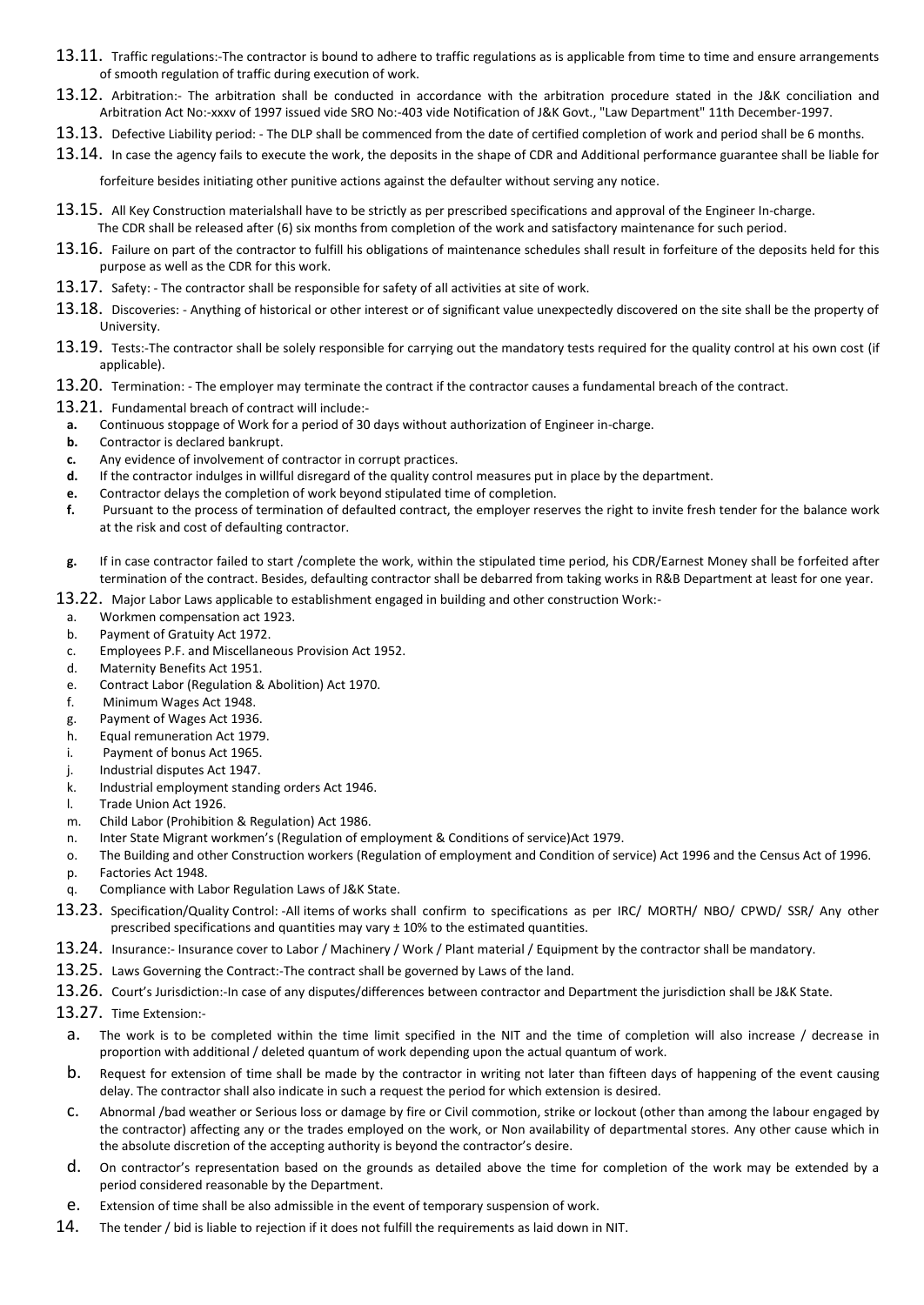- 13.11. Traffic regulations:-The contractor is bound to adhere to traffic regulations as is applicable from time to time and ensure arrangements of smooth regulation of traffic during execution of work.
- 13.12. Arbitration:- The arbitration shall be conducted in accordance with the arbitration procedure stated in the J&K conciliation and Arbitration Act No:-xxxv of 1997 issued vide SRO No:-403 vide Notification of J&K Govt., "Law Department" 11th December-1997.
- 13.13. Defective Liability period: The DLP shall be commenced from the date of certified completion of work and period shall be 6 months.
- 13.14. In case the agency fails to execute the work, the deposits in the shape of CDR and Additional performance guarantee shall be liable for

forfeiture besides initiating other punitive actions against the defaulter without serving any notice.

- 13.15. All Key Construction materialshall have to be strictly as per prescribed specifications and approval of the Engineer In-charge. The CDR shall be released after (6) six months from completion of the work and satisfactory maintenance for such period.
- 13.16. Failure on part of the contractor to fulfill his obligations of maintenance schedules shall result in forfeiture of the deposits held for this purpose as well as the CDR for this work.
- 13.17. Safety: The contractor shall be responsible for safety of all activities at site of work.
- 13.18. Discoveries: Anything of historical or other interest or of significant value unexpectedly discovered on the site shall be the property of University.
- 13.19. Tests:-The contractor shall be solely responsible for carrying out the mandatory tests required for the quality control at his own cost (if applicable).
- 13.20. Termination: The employer may terminate the contract if the contractor causes a fundamental breach of the contract.
- 13.21. Fundamental breach of contract will include:-
- **a.** Continuous stoppage of Work for a period of 30 days without authorization of Engineer in-charge.
- **b.** Contractor is declared bankrupt.
- **c.** Any evidence of involvement of contractor in corrupt practices.
- **d.** If the contractor indulges in willful disregard of the quality control measures put in place by the department.
- **e.** Contractor delays the completion of work beyond stipulated time of completion.
- **f.** Pursuant to the process of termination of defaulted contract, the employer reserves the right to invite fresh tender for the balance work at the risk and cost of defaulting contractor.
- **g.** If in case contractor failed to start /complete the work, within the stipulated time period, his CDR/Earnest Money shall be forfeited after termination of the contract. Besides, defaulting contractor shall be debarred from taking works in R&B Department at least for one year.

13.22. Major Labor Laws applicable to establishment engaged in building and other construction Work:-

- a. Workmen compensation act 1923.
- b. Payment of Gratuity Act 1972.
- c. Employees P.F. and Miscellaneous Provision Act 1952.
- d. Maternity Benefits Act 1951.
- e. Contract Labor (Regulation & Abolition) Act 1970.
- f. Minimum Wages Act 1948.
- g. Payment of Wages Act 1936.
- h. Equal remuneration Act 1979.
- i. Payment of bonus Act 1965.
- j. Industrial disputes Act 1947.
- k. Industrial employment standing orders Act 1946.
- l. Trade Union Act 1926.
- m. Child Labor (Prohibition & Regulation) Act 1986.
- n. Inter State Migrant workmen's (Regulation of employment & Conditions of service)Act 1979.
- o. The Building and other Construction workers (Regulation of employment and Condition of service) Act 1996 and the Census Act of 1996.
- p. Factories Act 1948.
- q. Compliance with Labor Regulation Laws of J&K State.
- 13.23. Specification/Quality Control: -All items of works shall confirm to specifications as per IRC/ MORTH/ NBO/ CPWD/ SSR/ Any other prescribed specifications and quantities may vary ± 10% to the estimated quantities.
- 13.24. Insurance:- Insurance cover to Labor / Machinery / Work / Plant material / Equipment by the contractor shall be mandatory.
- 13.25. Laws Governing the Contract:-The contract shall be governed by Laws of the land.
- 13.26. Court's Jurisdiction:-In case of any disputes/differences between contractor and Department the jurisdiction shall be J&K State.
- 13.27. Time Extension:
	- a. The work is to be completed within the time limit specified in the NIT and the time of completion will also increase / decrease in proportion with additional / deleted quantum of work depending upon the actual quantum of work.
	- b. Request for extension of time shall be made by the contractor in writing not later than fifteen days of happening of the event causing delay. The contractor shall also indicate in such a request the period for which extension is desired.
	- c. Abnormal /bad weather or Serious loss or damage by fire or Civil commotion, strike or lockout (other than among the labour engaged by the contractor) affecting any or the trades employed on the work, or Non availability of departmental stores. Any other cause which in the absolute discretion of the accepting authority is beyond the contractor's desire.
	- d. On contractor's representation based on the grounds as detailed above the time for completion of the work may be extended by a period considered reasonable by the Department.
- e. Extension of time shall be also admissible in the event of temporary suspension of work.
- 14. The tender / bid is liable to rejection if it does not fulfill the requirements as laid down in NIT.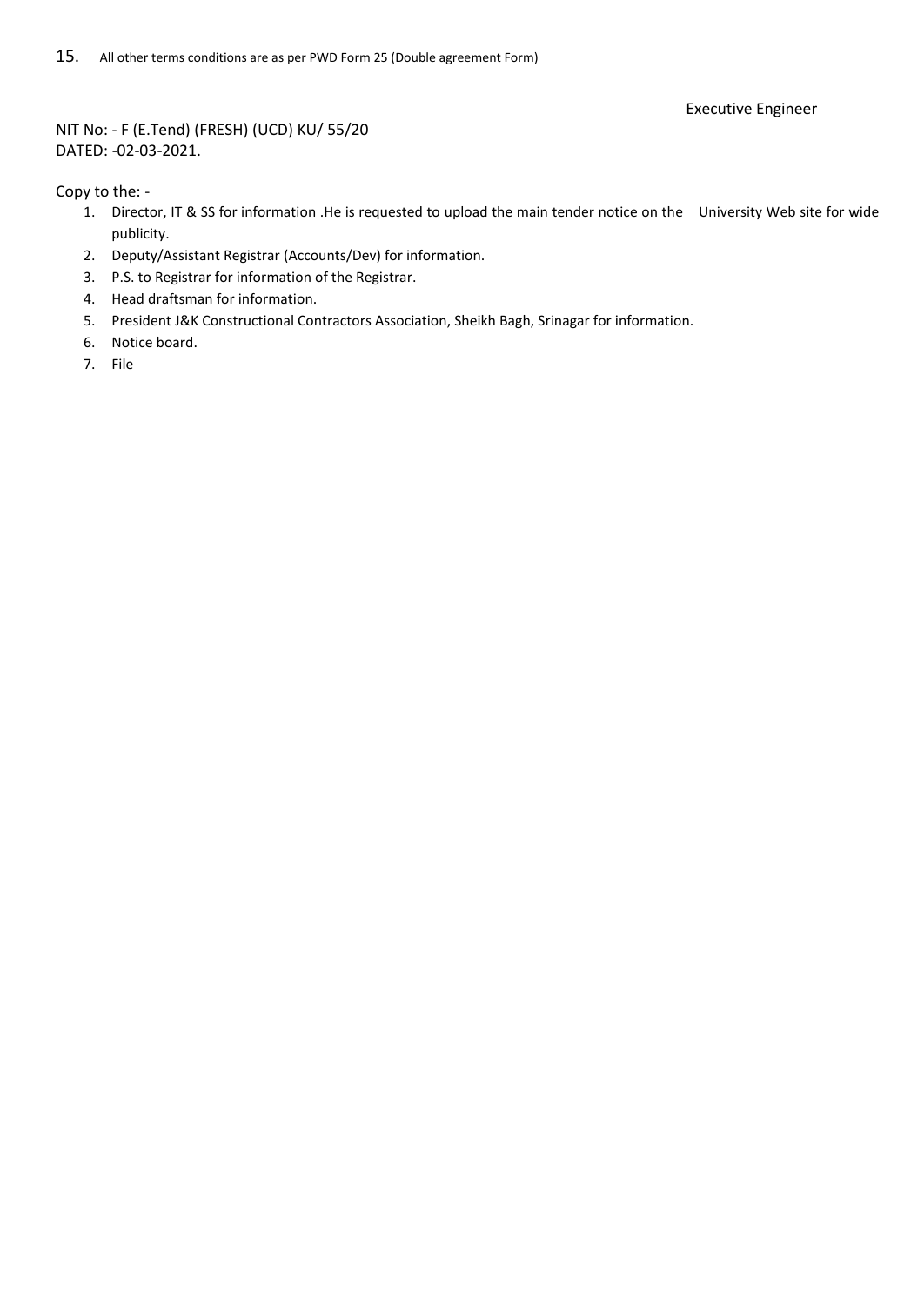Executive Engineer

NIT No: - F (E.Tend) (FRESH) (UCD) KU/ 55/20 DATED: -02-03-2021.

Copy to the: -

- 1. Director, IT & SS for information .He is requested to upload the main tender notice on the University Web site for wide publicity.
- 2. Deputy/Assistant Registrar (Accounts/Dev) for information.
- 3. P.S. to Registrar for information of the Registrar.
- 4. Head draftsman for information.
- 5. President J&K Constructional Contractors Association, Sheikh Bagh, Srinagar for information.
- 6. Notice board.
- 7. File